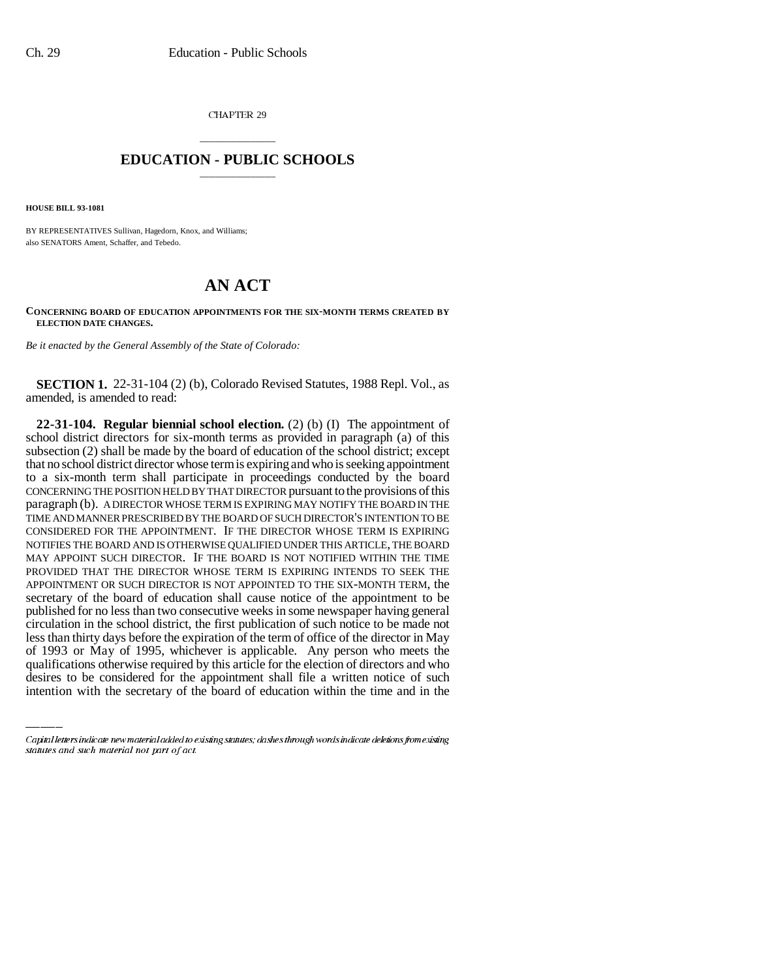CHAPTER 29

## \_\_\_\_\_\_\_\_\_\_\_\_\_\_\_ **EDUCATION - PUBLIC SCHOOLS** \_\_\_\_\_\_\_\_\_\_\_\_\_\_\_

**HOUSE BILL 93-1081**

BY REPRESENTATIVES Sullivan, Hagedorn, Knox, and Williams; also SENATORS Ament, Schaffer, and Tebedo.

## **AN ACT**

## **CONCERNING BOARD OF EDUCATION APPOINTMENTS FOR THE SIX-MONTH TERMS CREATED BY ELECTION DATE CHANGES.**

*Be it enacted by the General Assembly of the State of Colorado:*

**SECTION 1.** 22-31-104 (2) (b), Colorado Revised Statutes, 1988 Repl. Vol., as amended, is amended to read:

less than thirty days before the expiration of the term of office of the director in May **22-31-104. Regular biennial school election.** (2) (b) (I) The appointment of school district directors for six-month terms as provided in paragraph (a) of this subsection (2) shall be made by the board of education of the school district; except that no school district director whose term is expiring and who is seeking appointment to a six-month term shall participate in proceedings conducted by the board CONCERNING THE POSITION HELD BY THAT DIRECTOR pursuant to the provisions of this paragraph (b). A DIRECTOR WHOSE TERM IS EXPIRING MAY NOTIFY THE BOARD IN THE TIME AND MANNER PRESCRIBED BY THE BOARD OF SUCH DIRECTOR'S INTENTION TO BE CONSIDERED FOR THE APPOINTMENT. IF THE DIRECTOR WHOSE TERM IS EXPIRING NOTIFIES THE BOARD AND IS OTHERWISE QUALIFIED UNDER THIS ARTICLE, THE BOARD MAY APPOINT SUCH DIRECTOR. IF THE BOARD IS NOT NOTIFIED WITHIN THE TIME PROVIDED THAT THE DIRECTOR WHOSE TERM IS EXPIRING INTENDS TO SEEK THE APPOINTMENT OR SUCH DIRECTOR IS NOT APPOINTED TO THE SIX-MONTH TERM, the secretary of the board of education shall cause notice of the appointment to be published for no less than two consecutive weeks in some newspaper having general circulation in the school district, the first publication of such notice to be made not of 1993 or May of 1995, whichever is applicable. Any person who meets the qualifications otherwise required by this article for the election of directors and who desires to be considered for the appointment shall file a written notice of such intention with the secretary of the board of education within the time and in the

Capital letters indicate new material added to existing statutes; dashes through words indicate deletions from existing statutes and such material not part of act.